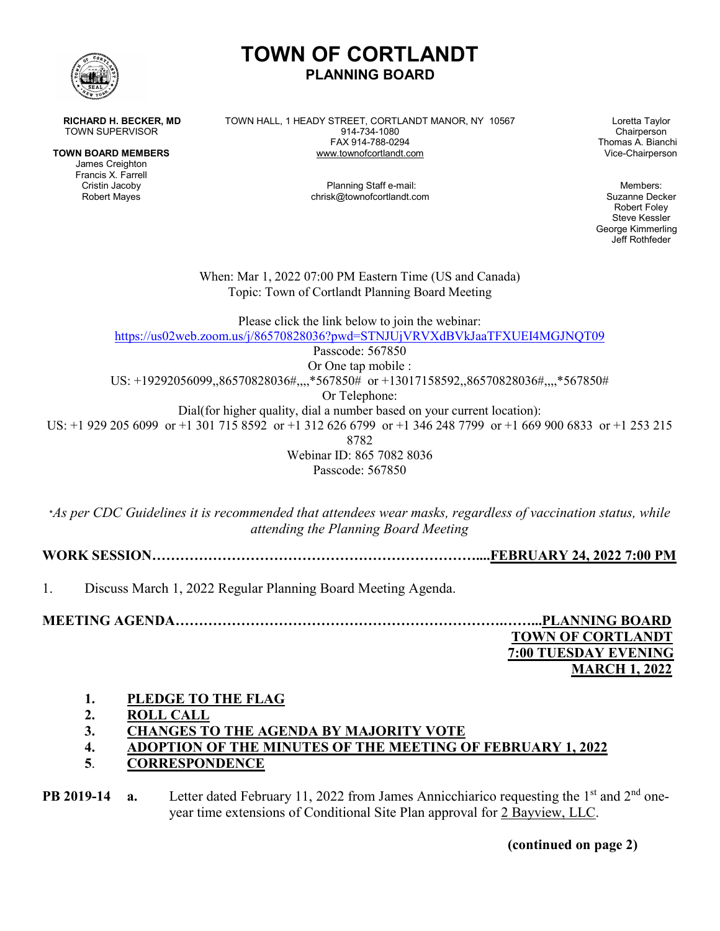

**TOWN BOARD MEMBERS WWW.townofcortlandt.com** 

James Creighton Francis X. Farrell

**RICHARD H. BECKER, MD** TOWN HALL, 1 HEADY STREET, CORTLANDT MANOR, NY 10567 Loretta Taylor<br>TOWN SUPERVISOR Chairperson TOWN SUPERVISOR 1914-734-1080<br>FAX 914-788-0294

**PLANNING BOARD**

**TOWN OF CORTLANDT**

Thomas A. Bianchi<br>Vice-Chairperson

Planning Staff e-mail: Members: Members: Members: Members: Members: Members: Members: Members: Members:  $\blacksquare$ Robert Mayes **chrisk@townofcortlandt.com** chrisk@townofcortlandt.com Suzanne Decker

Robert Foley Steve Kessler George Kimmerling Jeff Rothfeder

When: Mar 1, 2022 07:00 PM Eastern Time (US and Canada) Topic: Town of Cortlandt Planning Board Meeting

Please click the link below to join the webinar: <https://us02web.zoom.us/j/86570828036?pwd=STNJUjVRVXdBVkJaaTFXUEI4MGJNQT09> Passcode: 567850 Or One tap mobile : US: +19292056099,,86570828036#,,,,\*567850# or +13017158592,,86570828036#,,,,\*567850# Or Telephone: Dial(for higher quality, dial a number based on your current location): US: +1 929 205 6099 or +1 301 715 8592 or +1 312 626 6799 or +1 346 248 7799 or +1 669 900 6833 or +1 253 215

8782

Webinar ID: 865 7082 8036 Passcode: 567850

\**As per CDC Guidelines it is recommended that attendees wear masks, regardless of vaccination status, while attending the Planning Board Meeting*

**WORK SESSION……………………………………………………………....FEBRUARY 24, 2022 7:00 PM**

1. Discuss March 1, 2022 Regular Planning Board Meeting Agenda.

**MEETING AGENDA…………………………………………………………….……...PLANNING BOARD TOWN OF CORTLANDT 7:00 TUESDAY EVENING**

 **MARCH 1, 2022**

# **1. PLEDGE TO THE FLAG**

- **2. ROLL CALL**
- **3. CHANGES TO THE AGENDA BY MAJORITY VOTE**
- **4. ADOPTION OF THE MINUTES OF THE MEETING OF FEBRUARY 1, 2022**
- **5**. **CORRESPONDENCE**

**PB 2019-14 a.** Letter dated February 11, 2022 from James Annicchiarico requesting the 1<sup>st</sup> and 2<sup>nd</sup> oneyear time extensions of Conditional Site Plan approval for 2 Bayview, LLC.

**(continued on page 2)**